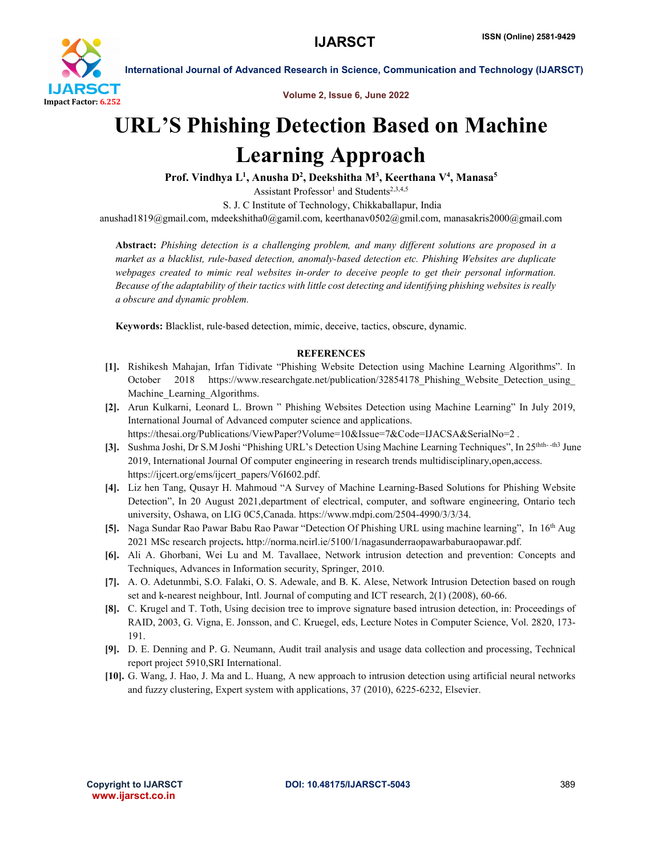

Volume 2, Issue 6, June 2022

## URL'S Phishing Detection Based on Machine Learning Approach

Prof. Vindhya L<sup>1</sup>, Anusha D<sup>2</sup>, Deekshitha M<sup>3</sup>, Keerthana V<sup>4</sup>, Manasa<sup>5</sup>

Assistant Professor<sup>1</sup> and Students<sup>2,3,4,5</sup>

S. J. C Institute of Technology, Chikkaballapur, India

anushad1819@gmail.com, mdeekshitha0@gamil.com, keerthanav0502@gmil.com, manasakris2000@gmail.com

Abstract: *Phishing detection is a challenging problem, and many different solutions are proposed in a market as a blacklist, rule-based detection, anomaly-based detection etc. Phishing Websites are duplicate webpages created to mimic real websites in-order to deceive people to get their personal information. Because of the adaptability of their tactics with little cost detecting and identifying phishing websites is really a obscure and dynamic problem.*

Keywords: Blacklist, rule-based detection, mimic, deceive, tactics, obscure, dynamic.

## **REFERENCES**

- [1]. Rishikesh Mahajan, Irfan Tidivate "Phishing Website Detection using Machine Learning Algorithms". In October 2018 https://www.researchgate.net/publication/32854178 Phishing Website Detection using Machine Learning Algorithms.
- [2]. Arun Kulkarni, Leonard L. Brown " Phishing Websites Detection using Machine Learning" In July 2019, International Journal of Advanced computer science and applications. https://thesai.org/Publications/ViewPaper?Volume=10&Issue=7&Code=IJACSA&SerialNo=2.
- [3]. Sushma Joshi, Dr S.M Joshi "Phishing URL's Detection Using Machine Learning Techniques", In 25thth- -th3 June 2019, International Journal Of computer engineering in research trends multidisciplinary,open,access. https://ijcert.org/ems/ijcert\_papers/V6I602.pdf.
- [4]. Liz hen Tang, Qusayr H. Mahmoud "A Survey of Machine Learning-Based Solutions for Phishing Website Detection", In 20 August 2021,department of electrical, computer, and software engineering, Ontario tech university, Oshawa, on LIG 0C5,Canada. https://www.mdpi.com/2504-4990/3/3/34.
- [5]. Naga Sundar Rao Pawar Babu Rao Pawar "Detection Of Phishing URL using machine learning", In 16th Aug 2021 MSc research projects. http://norma.ncirl.ie/5100/1/nagasunderraopawarbaburaopawar.pdf.
- [6]. Ali A. Ghorbani, Wei Lu and M. Tavallaee, Network intrusion detection and prevention: Concepts and Techniques, Advances in Information security, Springer, 2010.
- [7]. A. O. Adetunmbi, S.O. Falaki, O. S. Adewale, and B. K. Alese, Network Intrusion Detection based on rough set and k-nearest neighbour, Intl. Journal of computing and ICT research, 2(1) (2008), 60-66.
- [8]. C. Krugel and T. Toth, Using decision tree to improve signature based intrusion detection, in: Proceedings of RAID, 2003, G. Vigna, E. Jonsson, and C. Kruegel, eds, Lecture Notes in Computer Science, Vol. 2820, 173- 191.
- [9]. D. E. Denning and P. G. Neumann, Audit trail analysis and usage data collection and processing, Technical report project 5910,SRI International.
- [10]. G. Wang, J. Hao, J. Ma and L. Huang, A new approach to intrusion detection using artificial neural networks and fuzzy clustering, Expert system with applications, 37 (2010), 6225-6232, Elsevier.